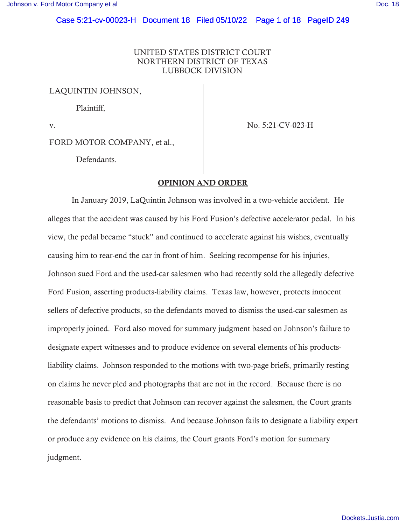# UNITED STATES DISTRICT COURT NORTHERN DISTRICT OF TEXAS LUBBOCK DIVISION

LAQUINTIN JOHNSON,

Plaintiff,

v. No. 5:21-CV-023-H

FORD MOTOR COMPANY, et al.,

Defendants.

# OPINION AND ORDER

In January 2019, LaQuintin Johnson was involved in a two-vehicle accident. He alleges that the accident was caused by his Ford Fusion's defective accelerator pedal. In his view, the pedal became "stuck" and continued to accelerate against his wishes, eventually causing him to rear-end the car in front of him. Seeking recompense for his injuries, Johnson sued Ford and the used-car salesmen who had recently sold the allegedly defective Ford Fusion, asserting products-liability claims. Texas law, however, protects innocent sellers of defective products, so the defendants moved to dismiss the used-car salesmen as improperly joined. Ford also moved for summary judgment based on Johnson's failure to designate expert witnesses and to produce evidence on several elements of his productsliability claims. Johnson responded to the motions with two-page briefs, primarily resting on claims he never pled and photographs that are not in the record. Because there is no reasonable basis to predict that Johnson can recover against the salesmen, the Court grants the defendants' motions to dismiss. And because Johnson fails to designate a liability expert or produce any evidence on his claims, the Court grants Ford's motion for summary judgment.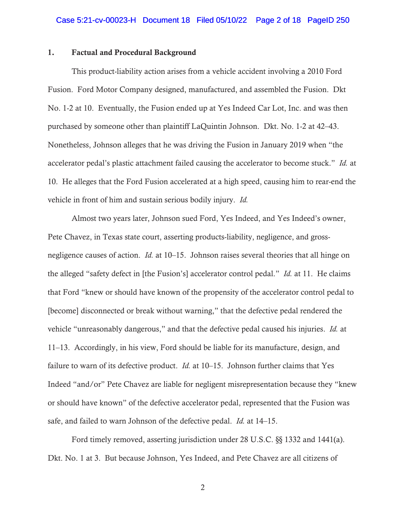### 1. Factual and Procedural Background

This product-liability action arises from a vehicle accident involving a 2010 Ford Fusion. Ford Motor Company designed, manufactured, and assembled the Fusion. Dkt No. 1-2 at 10. Eventually, the Fusion ended up at Yes Indeed Car Lot, Inc. and was then purchased by someone other than plaintiff LaQuintin Johnson. Dkt. No. 1-2 at 42–43. Nonetheless, Johnson alleges that he was driving the Fusion in January 2019 when "the accelerator pedal's plastic attachment failed causing the accelerator to become stuck." *Id.* at 10. He alleges that the Ford Fusion accelerated at a high speed, causing him to rear-end the vehicle in front of him and sustain serious bodily injury. *Id.*

Almost two years later, Johnson sued Ford, Yes Indeed, and Yes Indeed's owner, Pete Chavez, in Texas state court, asserting products-liability, negligence, and grossnegligence causes of action. *Id.* at 10–15. Johnson raises several theories that all hinge on the alleged "safety defect in [the Fusion's] accelerator control pedal." *Id.* at 11. He claims that Ford "knew or should have known of the propensity of the accelerator control pedal to [become] disconnected or break without warning," that the defective pedal rendered the vehicle "unreasonably dangerous," and that the defective pedal caused his injuries. *Id.* at 11–13. Accordingly, in his view, Ford should be liable for its manufacture, design, and failure to warn of its defective product. *Id.* at 10–15. Johnson further claims that Yes Indeed "and/or" Pete Chavez are liable for negligent misrepresentation because they "knew or should have known" of the defective accelerator pedal, represented that the Fusion was safe, and failed to warn Johnson of the defective pedal. *Id.* at 14–15.

Ford timely removed, asserting jurisdiction under 28 U.S.C. §§ 1332 and 1441(a). Dkt. No. 1 at 3. But because Johnson, Yes Indeed, and Pete Chavez are all citizens of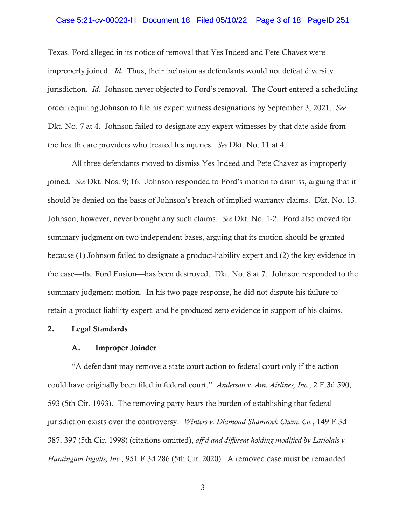### Case 5:21-cv-00023-H Document 18 Filed 05/10/22 Page 3 of 18 PageID 251

Texas, Ford alleged in its notice of removal that Yes Indeed and Pete Chavez were improperly joined. *Id.* Thus, their inclusion as defendants would not defeat diversity jurisdiction. *Id.* Johnson never objected to Ford's removal. The Court entered a scheduling order requiring Johnson to file his expert witness designations by September 3, 2021. *See*  Dkt. No. 7 at 4. Johnson failed to designate any expert witnesses by that date aside from the health care providers who treated his injuries. *See* Dkt. No. 11 at 4.

All three defendants moved to dismiss Yes Indeed and Pete Chavez as improperly joined. *See* Dkt. Nos. 9; 16. Johnson responded to Ford's motion to dismiss, arguing that it should be denied on the basis of Johnson's breach-of-implied-warranty claims. Dkt. No. 13. Johnson, however, never brought any such claims. *See* Dkt. No. 1-2. Ford also moved for summary judgment on two independent bases, arguing that its motion should be granted because (1) Johnson failed to designate a product-liability expert and (2) the key evidence in the case—the Ford Fusion—has been destroyed. Dkt. No. 8 at 7. Johnson responded to the summary-judgment motion. In his two-page response, he did not dispute his failure to retain a product-liability expert, and he produced zero evidence in support of his claims.

#### 2. Legal Standards

#### A. Improper Joinder

"A defendant may remove a state court action to federal court only if the action could have originally been filed in federal court." *Anderson v. Am. Airlines, Inc.*, 2 F.3d 590, 593 (5th Cir. 1993). The removing party bears the burden of establishing that federal jurisdiction exists over the controversy. *Winters v. Diamond Shamrock Chem. Co.*, 149 F.3d 387, 397 (5th Cir. 1998) (citations omitted), *aff'd and different holding modified by Latiolais v. Huntington Ingalls, Inc.*, 951 F.3d 286 (5th Cir. 2020). A removed case must be remanded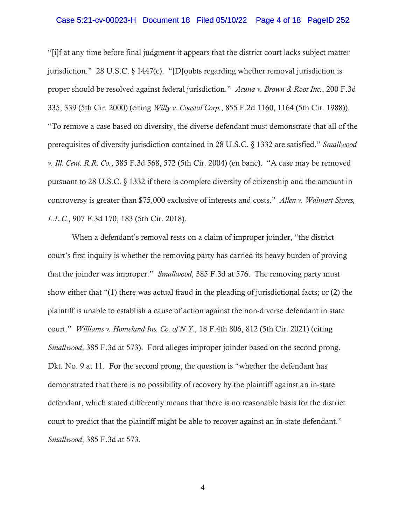### Case 5:21-cv-00023-H Document 18 Filed 05/10/22 Page 4 of 18 PageID 252

"[i]f at any time before final judgment it appears that the district court lacks subject matter jurisdiction." 28 U.S.C. § 1447(c). "[D]oubts regarding whether removal jurisdiction is proper should be resolved against federal jurisdiction." *Acuna v. Brown & Root Inc.*, 200 F.3d 335, 339 (5th Cir. 2000) (citing *Willy v. Coastal Corp.*, 855 F.2d 1160, 1164 (5th Cir. 1988)). "To remove a case based on diversity, the diverse defendant must demonstrate that all of the prerequisites of diversity jurisdiction contained in 28 U.S.C. § 1332 are satisfied." *Smallwood v. Ill. Cent. R.R. Co.*, 385 F.3d 568, 572 (5th Cir. 2004) (en banc). "A case may be removed pursuant to 28 U.S.C. § 1332 if there is complete diversity of citizenship and the amount in controversy is greater than \$75,000 exclusive of interests and costs." *Allen v. Walmart Stores, L.L.C.*, 907 F.3d 170, 183 (5th Cir. 2018).

When a defendant's removal rests on a claim of improper joinder, "the district court's first inquiry is whether the removing party has carried its heavy burden of proving that the joinder was improper." *Smallwood*, 385 F.3d at 576. The removing party must show either that "(1) there was actual fraud in the pleading of jurisdictional facts; or (2) the plaintiff is unable to establish a cause of action against the non-diverse defendant in state court." *Williams v. Homeland Ins. Co. of N.Y.*, 18 F.4th 806, 812 (5th Cir. 2021) (citing *Smallwood*, 385 F.3d at 573). Ford alleges improper joinder based on the second prong. Dkt. No. 9 at 11. For the second prong, the question is "whether the defendant has demonstrated that there is no possibility of recovery by the plaintiff against an in-state defendant, which stated differently means that there is no reasonable basis for the district court to predict that the plaintiff might be able to recover against an in-state defendant." *Smallwood*, 385 F.3d at 573.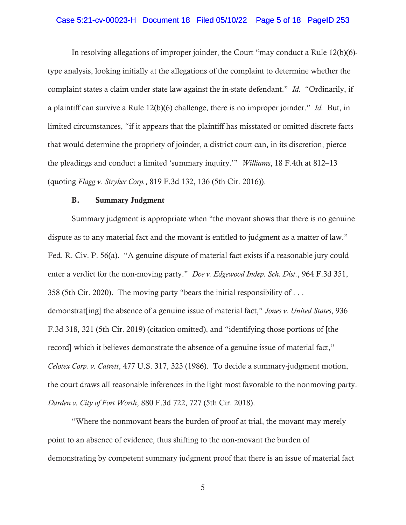### Case 5:21-cv-00023-H Document 18 Filed 05/10/22 Page 5 of 18 PageID 253

In resolving allegations of improper joinder, the Court "may conduct a Rule 12(b)(6) type analysis, looking initially at the allegations of the complaint to determine whether the complaint states a claim under state law against the in-state defendant." *Id.* "Ordinarily, if a plaintiff can survive a Rule 12(b)(6) challenge, there is no improper joinder." *Id.* But, in limited circumstances, "if it appears that the plaintiff has misstated or omitted discrete facts that would determine the propriety of joinder, a district court can, in its discretion, pierce the pleadings and conduct a limited 'summary inquiry.'" *Williams*, 18 F.4th at 812–13 (quoting *Flagg v. Stryker Corp.*, 819 F.3d 132, 136 (5th Cir. 2016)).

# B. Summary Judgment

Summary judgment is appropriate when "the movant shows that there is no genuine dispute as to any material fact and the movant is entitled to judgment as a matter of law." Fed. R. Civ. P. 56(a). "A genuine dispute of material fact exists if a reasonable jury could enter a verdict for the non-moving party." *Doe v. Edgewood Indep. Sch. Dist.*, 964 F.3d 351, 358 (5th Cir. 2020). The moving party "bears the initial responsibility of . . . demonstrat[ing] the absence of a genuine issue of material fact," *Jones v. United States*, 936 F.3d 318, 321 (5th Cir. 2019) (citation omitted), and "identifying those portions of [the record] which it believes demonstrate the absence of a genuine issue of material fact," *Celotex Corp. v. Catrett*, 477 U.S. 317, 323 (1986). To decide a summary-judgment motion, the court draws all reasonable inferences in the light most favorable to the nonmoving party. *Darden v. City of Fort Worth*, 880 F.3d 722, 727 (5th Cir. 2018).

"Where the nonmovant bears the burden of proof at trial, the movant may merely point to an absence of evidence, thus shifting to the non-movant the burden of demonstrating by competent summary judgment proof that there is an issue of material fact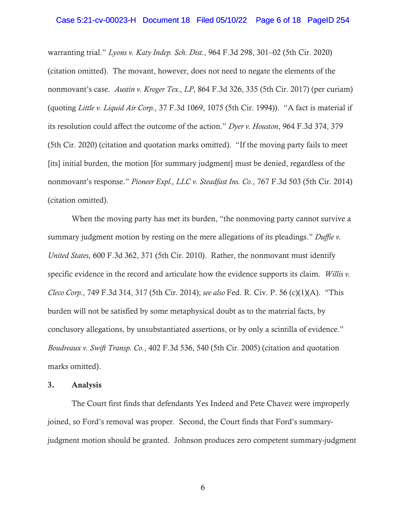#### Case 5:21-cv-00023-H Document 18 Filed 05/10/22 Page 6 of 18 PageID 254

warranting trial." *Lyons v. Katy Indep. Sch. Dist.*, 964 F.3d 298, 301–02 (5th Cir. 2020) (citation omitted). The movant, however, does not need to negate the elements of the nonmovant's case. *Austin v. Kroger Tex., LP*, 864 F.3d 326, 335 (5th Cir. 2017) (per curiam) (quoting *Little v. Liquid Air Corp.*, 37 F.3d 1069, 1075 (5th Cir. 1994)). "A fact is material if its resolution could affect the outcome of the action." *Dyer v. Houston*, 964 F.3d 374, 379 (5th Cir. 2020) (citation and quotation marks omitted). "If the moving party fails to meet [its] initial burden, the motion [for summary judgment] must be denied, regardless of the nonmovant's response." *Pioneer Expl., LLC v. Steadfast Ins. Co.*, 767 F.3d 503 (5th Cir. 2014) (citation omitted).

When the moving party has met its burden, "the nonmoving party cannot survive a summary judgment motion by resting on the mere allegations of its pleadings." *Duffie v. United States*, 600 F.3d 362, 371 (5th Cir. 2010). Rather, the nonmovant must identify specific evidence in the record and articulate how the evidence supports its claim. *Willis v. Cleco Corp.*, 749 F.3d 314, 317 (5th Cir. 2014); *see also* Fed. R. Civ. P. 56 (c)(1)(A). "This burden will not be satisfied by some metaphysical doubt as to the material facts, by conclusory allegations, by unsubstantiated assertions, or by only a scintilla of evidence." *Boudreaux v. Swift Transp. Co.*, 402 F.3d 536, 540 (5th Cir. 2005) (citation and quotation marks omitted).

#### 3. Analysis

The Court first finds that defendants Yes Indeed and Pete Chavez were improperly joined, so Ford's removal was proper. Second, the Court finds that Ford's summaryjudgment motion should be granted. Johnson produces zero competent summary-judgment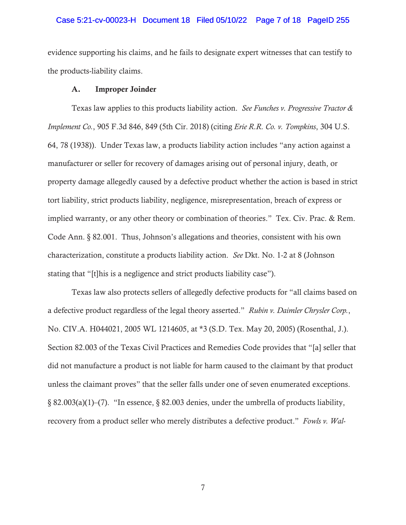#### Case 5:21-cv-00023-H Document 18 Filed 05/10/22 Page 7 of 18 PageID 255

evidence supporting his claims, and he fails to designate expert witnesses that can testify to the products-liability claims.

#### A. Improper Joinder

Texas law applies to this products liability action. *See Funches v. Progressive Tractor & Implement Co.*, 905 F.3d 846, 849 (5th Cir. 2018) (citing *Erie R.R. Co. v. Tompkins*, 304 U.S. 64, 78 (1938)). Under Texas law, a products liability action includes "any action against a manufacturer or seller for recovery of damages arising out of personal injury, death, or property damage allegedly caused by a defective product whether the action is based in strict tort liability, strict products liability, negligence, misrepresentation, breach of express or implied warranty, or any other theory or combination of theories." Tex. Civ. Prac. & Rem. Code Ann. § 82.001. Thus, Johnson's allegations and theories, consistent with his own characterization, constitute a products liability action. *See* Dkt. No. 1-2 at 8 (Johnson stating that "[t]his is a negligence and strict products liability case").

Texas law also protects sellers of allegedly defective products for "all claims based on a defective product regardless of the legal theory asserted." *Rubin v. Daimler Chrysler Corp.*, No. CIV.A. H044021, 2005 WL 1214605, at \*3 (S.D. Tex. May 20, 2005) (Rosenthal, J.). Section 82.003 of the Texas Civil Practices and Remedies Code provides that "[a] seller that did not manufacture a product is not liable for harm caused to the claimant by that product unless the claimant proves" that the seller falls under one of seven enumerated exceptions. § 82.003(a)(1)–(7). "In essence, § 82.003 denies, under the umbrella of products liability, recovery from a product seller who merely distributes a defective product." *Fowls v. Wal-*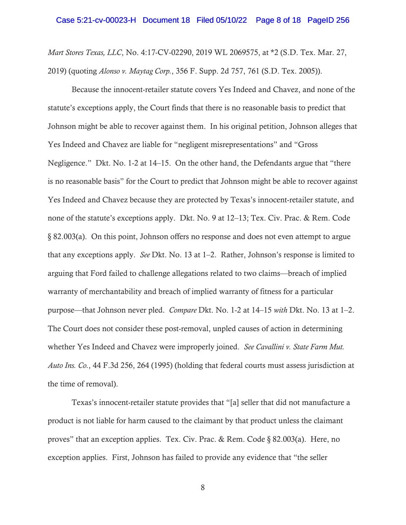*Mart Stores Texas, LLC*, No. 4:17-CV-02290, 2019 WL 2069575, at \*2 (S.D. Tex. Mar. 27, 2019) (quoting *Alonso v. Maytag Corp.*, 356 F. Supp. 2d 757, 761 (S.D. Tex. 2005)).

Because the innocent-retailer statute covers Yes Indeed and Chavez, and none of the statute's exceptions apply, the Court finds that there is no reasonable basis to predict that Johnson might be able to recover against them. In his original petition, Johnson alleges that Yes Indeed and Chavez are liable for "negligent misrepresentations" and "Gross Negligence." Dkt. No. 1-2 at 14–15. On the other hand, the Defendants argue that "there is no reasonable basis" for the Court to predict that Johnson might be able to recover against Yes Indeed and Chavez because they are protected by Texas's innocent-retailer statute, and none of the statute's exceptions apply. Dkt. No. 9 at 12–13; Tex. Civ. Prac. & Rem. Code § 82.003(a). On this point, Johnson offers no response and does not even attempt to argue that any exceptions apply. *See* Dkt. No. 13 at 1–2. Rather, Johnson's response is limited to arguing that Ford failed to challenge allegations related to two claims—breach of implied warranty of merchantability and breach of implied warranty of fitness for a particular purpose—that Johnson never pled. *Compare* Dkt. No. 1-2 at 14–15 *with* Dkt. No. 13 at 1–2. The Court does not consider these post-removal, unpled causes of action in determining whether Yes Indeed and Chavez were improperly joined. *See Cavallini v. State Farm Mut. Auto Ins. Co.*, 44 F.3d 256, 264 (1995) (holding that federal courts must assess jurisdiction at the time of removal).

Texas's innocent-retailer statute provides that "[a] seller that did not manufacture a product is not liable for harm caused to the claimant by that product unless the claimant proves" that an exception applies. Tex. Civ. Prac. & Rem. Code § 82.003(a). Here, no exception applies. First, Johnson has failed to provide any evidence that "the seller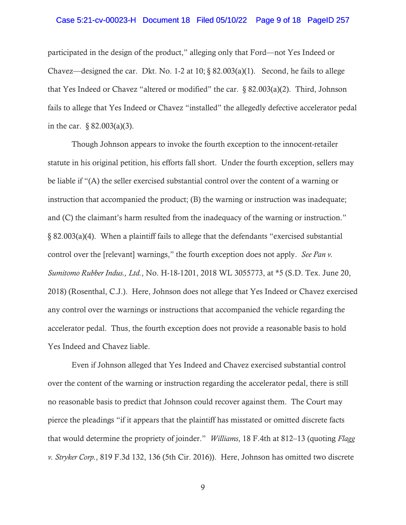### Case 5:21-cv-00023-H Document 18 Filed 05/10/22 Page 9 of 18 PageID 257

participated in the design of the product," alleging only that Ford—not Yes Indeed or Chavez—designed the car. Dkt. No. 1-2 at 10;  $\S$  82.003(a)(1). Second, he fails to allege that Yes Indeed or Chavez "altered or modified" the car. § 82.003(a)(2). Third, Johnson fails to allege that Yes Indeed or Chavez "installed" the allegedly defective accelerator pedal in the car. § 82.003(a)(3).

Though Johnson appears to invoke the fourth exception to the innocent-retailer statute in his original petition, his efforts fall short. Under the fourth exception, sellers may be liable if "(A) the seller exercised substantial control over the content of a warning or instruction that accompanied the product; (B) the warning or instruction was inadequate; and (C) the claimant's harm resulted from the inadequacy of the warning or instruction." § 82.003(a)(4). When a plaintiff fails to allege that the defendants "exercised substantial control over the [relevant] warnings," the fourth exception does not apply. *See Pan v. Sumitomo Rubber Indus., Ltd.*, No. H-18-1201, 2018 WL 3055773, at \*5 (S.D. Tex. June 20, 2018) (Rosenthal, C.J.). Here, Johnson does not allege that Yes Indeed or Chavez exercised any control over the warnings or instructions that accompanied the vehicle regarding the accelerator pedal. Thus, the fourth exception does not provide a reasonable basis to hold Yes Indeed and Chavez liable.

Even if Johnson alleged that Yes Indeed and Chavez exercised substantial control over the content of the warning or instruction regarding the accelerator pedal, there is still no reasonable basis to predict that Johnson could recover against them. The Court may pierce the pleadings "if it appears that the plaintiff has misstated or omitted discrete facts that would determine the propriety of joinder." *Williams*, 18 F.4th at 812–13 (quoting *Flagg v. Stryker Corp.*, 819 F.3d 132, 136 (5th Cir. 2016)). Here, Johnson has omitted two discrete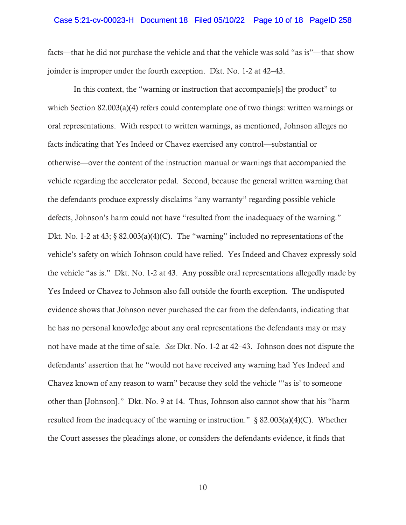### Case 5:21-cv-00023-H Document 18 Filed 05/10/22 Page 10 of 18 PageID 258

facts—that he did not purchase the vehicle and that the vehicle was sold "as is"—that show joinder is improper under the fourth exception. Dkt. No. 1-2 at 42–43.

 In this context, the "warning or instruction that accompanie[s] the product" to which Section 82.003(a)(4) refers could contemplate one of two things: written warnings or oral representations. With respect to written warnings, as mentioned, Johnson alleges no facts indicating that Yes Indeed or Chavez exercised any control—substantial or otherwise—over the content of the instruction manual or warnings that accompanied the vehicle regarding the accelerator pedal. Second, because the general written warning that the defendants produce expressly disclaims "any warranty" regarding possible vehicle defects, Johnson's harm could not have "resulted from the inadequacy of the warning." Dkt. No. 1-2 at 43;  $\S$  82.003(a)(4)(C). The "warning" included no representations of the vehicle's safety on which Johnson could have relied. Yes Indeed and Chavez expressly sold the vehicle "as is." Dkt. No. 1-2 at 43. Any possible oral representations allegedly made by Yes Indeed or Chavez to Johnson also fall outside the fourth exception. The undisputed evidence shows that Johnson never purchased the car from the defendants, indicating that he has no personal knowledge about any oral representations the defendants may or may not have made at the time of sale. *See* Dkt. No. 1-2 at 42–43. Johnson does not dispute the defendants' assertion that he "would not have received any warning had Yes Indeed and Chavez known of any reason to warn" because they sold the vehicle "'as is' to someone other than [Johnson]." Dkt. No. 9 at 14. Thus, Johnson also cannot show that his "harm resulted from the inadequacy of the warning or instruction."  $\S$  82.003(a)(4)(C). Whether the Court assesses the pleadings alone, or considers the defendants evidence, it finds that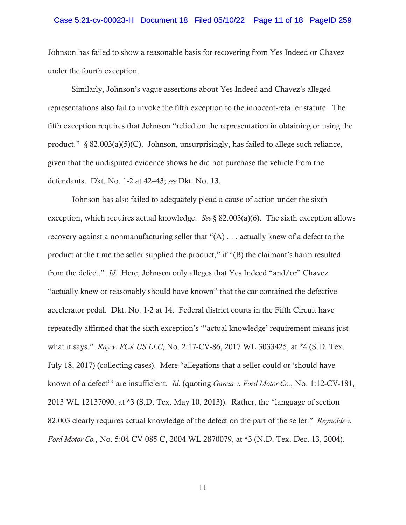# Case 5:21-cv-00023-H Document 18 Filed 05/10/22 Page 11 of 18 PageID 259

Johnson has failed to show a reasonable basis for recovering from Yes Indeed or Chavez under the fourth exception.

Similarly, Johnson's vague assertions about Yes Indeed and Chavez's alleged representations also fail to invoke the fifth exception to the innocent-retailer statute. The fifth exception requires that Johnson "relied on the representation in obtaining or using the product."  $\S 82.003(a)(5)(C)$ . Johnson, unsurprisingly, has failed to allege such reliance, given that the undisputed evidence shows he did not purchase the vehicle from the defendants. Dkt. No. 1-2 at 42–43; *see* Dkt. No. 13.

Johnson has also failed to adequately plead a cause of action under the sixth exception, which requires actual knowledge. *See* § 82.003(a)(6). The sixth exception allows recovery against a nonmanufacturing seller that "(A) . . . actually knew of a defect to the product at the time the seller supplied the product," if "(B) the claimant's harm resulted from the defect." *Id.* Here, Johnson only alleges that Yes Indeed "and/or" Chavez "actually knew or reasonably should have known" that the car contained the defective accelerator pedal. Dkt. No. 1-2 at 14. Federal district courts in the Fifth Circuit have repeatedly affirmed that the sixth exception's "'actual knowledge' requirement means just what it says." *Ray v. FCA US LLC*, No. 2:17-CV-86, 2017 WL 3033425, at \*4 (S.D. Tex. July 18, 2017) (collecting cases). Mere "allegations that a seller could or 'should have known of a defect'" are insufficient. *Id.* (quoting *Garcia v. Ford Motor Co.*, No. 1:12-CV-181, 2013 WL 12137090, at \*3 (S.D. Tex. May 10, 2013)). Rather, the "language of section 82.003 clearly requires actual knowledge of the defect on the part of the seller." *Reynolds v. Ford Motor Co.*, No. 5:04-CV-085-C, 2004 WL 2870079, at \*3 (N.D. Tex. Dec. 13, 2004).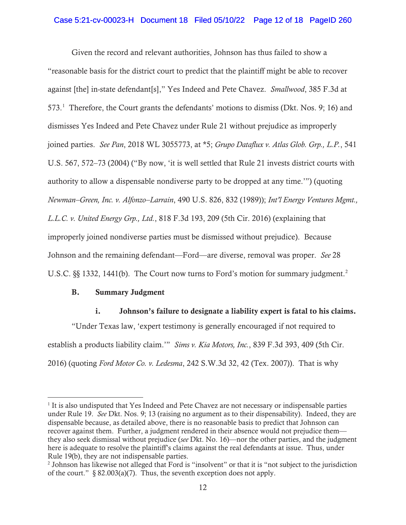# Case 5:21-cv-00023-H Document 18 Filed 05/10/22 Page 12 of 18 PageID 260

Given the record and relevant authorities, Johnson has thus failed to show a "reasonable basis for the district court to predict that the plaintiff might be able to recover against [the] in-state defendant[s]," Yes Indeed and Pete Chavez. *Smallwood*, 385 F.3d at 573.<sup>1</sup> Therefore, the Court grants the defendants' motions to dismiss (Dkt. Nos. 9; 16) and dismisses Yes Indeed and Pete Chavez under Rule 21 without prejudice as improperly joined parties. *See Pan*, 2018 WL 3055773, at \*5; *Grupo Dataflux v. Atlas Glob. Grp., L.P.*, 541 U.S. 567, 572–73 (2004) ("By now, 'it is well settled that Rule 21 invests district courts with authority to allow a dispensable nondiverse party to be dropped at any time.'") (quoting *Newman–Green, Inc. v. Alfonzo–Larrain*, 490 U.S. 826, 832 (1989)); *Int'l Energy Ventures Mgmt., L.L.C. v. United Energy Grp., Ltd.*, 818 F.3d 193, 209 (5th Cir. 2016) (explaining that improperly joined nondiverse parties must be dismissed without prejudice). Because Johnson and the remaining defendant—Ford—are diverse, removal was proper. *See* 28 U.S.C.  $\S$ [§ 1332, 1441(b). The Court now turns to Ford's motion for summary judgment.<sup>2</sup>

### B. Summary Judgment

## i. Johnson's failure to designate a liability expert is fatal to his claims.

"Under Texas law, 'expert testimony is generally encouraged if not required to establish a products liability claim.'" *Sims v. Kia Motors, Inc.*, 839 F.3d 393, 409 (5th Cir. 2016) (quoting *Ford Motor Co. v. Ledesma*, 242 S.W.3d 32, 42 (Tex. 2007)). That is why

<sup>&</sup>lt;sup>1</sup> It is also undisputed that Yes Indeed and Pete Chavez are not necessary or indispensable parties under Rule 19. *See* Dkt. Nos. 9; 13 (raising no argument as to their dispensability). Indeed, they are dispensable because, as detailed above, there is no reasonable basis to predict that Johnson can recover against them. Further, a judgment rendered in their absence would not prejudice them they also seek dismissal without prejudice (*see* Dkt. No. 16)—nor the other parties, and the judgment here is adequate to resolve the plaintiff's claims against the real defendants at issue. Thus, under Rule 19(b), they are not indispensable parties.

<sup>&</sup>lt;sup>2</sup> Johnson has likewise not alleged that Ford is "insolvent" or that it is "not subject to the jurisdiction of the court."  $\S$  82.003(a)(7). Thus, the seventh exception does not apply.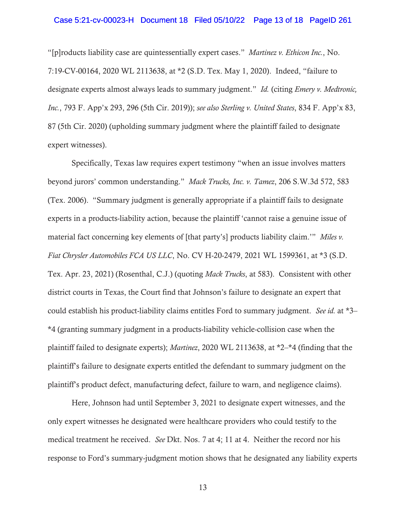#### Case 5:21-cv-00023-H Document 18 Filed 05/10/22 Page 13 of 18 PageID 261

"[p]roducts liability case are quintessentially expert cases." *Martinez v. Ethicon Inc.*, No. 7:19-CV-00164, 2020 WL 2113638, at \*2 (S.D. Tex. May 1, 2020). Indeed, "failure to designate experts almost always leads to summary judgment." *Id.* (citing *Emery v. Medtronic, Inc.*, 793 F. App'x 293, 296 (5th Cir. 2019)); *see also Sterling v. United States*, 834 F. App'x 83, 87 (5th Cir. 2020) (upholding summary judgment where the plaintiff failed to designate expert witnesses).

Specifically, Texas law requires expert testimony "when an issue involves matters beyond jurors' common understanding." *Mack Trucks, Inc. v. Tamez*, 206 S.W.3d 572, 583 (Tex. 2006). "Summary judgment is generally appropriate if a plaintiff fails to designate experts in a products-liability action, because the plaintiff 'cannot raise a genuine issue of material fact concerning key elements of [that party's] products liability claim.'" *Miles v. Fiat Chrysler Automobiles FCA US LLC*, No. CV H-20-2479, 2021 WL 1599361, at \*3 (S.D. Tex. Apr. 23, 2021) (Rosenthal, C.J.) (quoting *Mack Trucks*, at 583). Consistent with other district courts in Texas, the Court find that Johnson's failure to designate an expert that could establish his product-liability claims entitles Ford to summary judgment. *See id.* at \*3– \*4 (granting summary judgment in a products-liability vehicle-collision case when the plaintiff failed to designate experts); *Martinez*, 2020 WL 2113638, at \*2–\*4 (finding that the plaintiff's failure to designate experts entitled the defendant to summary judgment on the plaintiff's product defect, manufacturing defect, failure to warn, and negligence claims).

Here, Johnson had until September 3, 2021 to designate expert witnesses, and the only expert witnesses he designated were healthcare providers who could testify to the medical treatment he received. *See* Dkt. Nos. 7 at 4; 11 at 4. Neither the record nor his response to Ford's summary-judgment motion shows that he designated any liability experts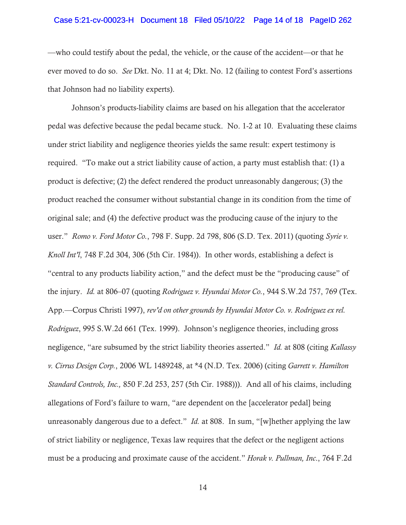#### Case 5:21-cv-00023-H Document 18 Filed 05/10/22 Page 14 of 18 PageID 262

—who could testify about the pedal, the vehicle, or the cause of the accident—or that he ever moved to do so. *See* Dkt. No. 11 at 4; Dkt. No. 12 (failing to contest Ford's assertions that Johnson had no liability experts).

Johnson's products-liability claims are based on his allegation that the accelerator pedal was defective because the pedal became stuck. No. 1-2 at 10. Evaluating these claims under strict liability and negligence theories yields the same result: expert testimony is required. "To make out a strict liability cause of action, a party must establish that: (1) a product is defective; (2) the defect rendered the product unreasonably dangerous; (3) the product reached the consumer without substantial change in its condition from the time of original sale; and (4) the defective product was the producing cause of the injury to the user." *Romo v. Ford Motor Co.*, 798 F. Supp. 2d 798, 806 (S.D. Tex. 2011) (quoting *Syrie v. Knoll Int'l*, 748 F.2d 304, 306 (5th Cir. 1984)). In other words, establishing a defect is "central to any products liability action," and the defect must be the "producing cause" of the injury. *Id.* at 806–07 (quoting *Rodriguez v. Hyundai Motor Co.*, 944 S.W.2d 757, 769 (Tex. App.—Corpus Christi 1997), *rev'd on other grounds by Hyundai Motor Co. v. Rodriguez ex rel. Rodriguez*, 995 S.W.2d 661 (Tex. 1999). Johnson's negligence theories, including gross negligence, "are subsumed by the strict liability theories asserted." *Id.* at 808 (citing *Kallassy v. Cirrus Design Corp.*, 2006 WL 1489248, at \*4 (N.D. Tex. 2006) (citing *Garrett v. Hamilton Standard Controls, Inc.,* 850 F.2d 253, 257 (5th Cir. 1988))). And all of his claims, including allegations of Ford's failure to warn, "are dependent on the [accelerator pedal] being unreasonably dangerous due to a defect." *Id.* at 808. In sum, "[w]hether applying the law of strict liability or negligence, Texas law requires that the defect or the negligent actions must be a producing and proximate cause of the accident." *Horak v. Pullman, Inc*., 764 F.2d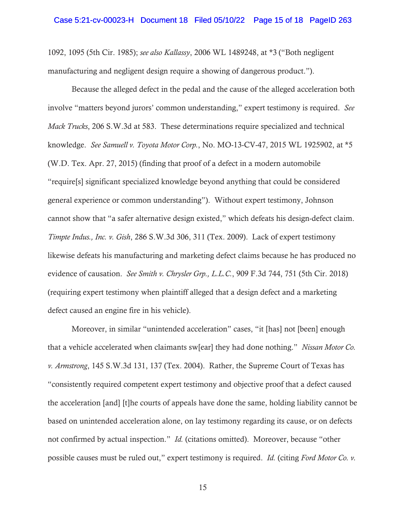1092, 1095 (5th Cir. 1985); *see also Kallassy*, 2006 WL 1489248, at \*3 ("Both negligent manufacturing and negligent design require a showing of dangerous product.").

Because the alleged defect in the pedal and the cause of the alleged acceleration both involve "matters beyond jurors' common understanding," expert testimony is required. *See Mack Trucks*, 206 S.W.3d at 583. These determinations require specialized and technical knowledge. *See Samuell v. Toyota Motor Corp.*, No. MO-13-CV-47, 2015 WL 1925902, at \*5 (W.D. Tex. Apr. 27, 2015) (finding that proof of a defect in a modern automobile "require[s] significant specialized knowledge beyond anything that could be considered general experience or common understanding"). Without expert testimony, Johnson cannot show that "a safer alternative design existed," which defeats his design-defect claim. *Timpte Indus., Inc. v. Gish*, 286 S.W.3d 306, 311 (Tex. 2009). Lack of expert testimony likewise defeats his manufacturing and marketing defect claims because he has produced no evidence of causation. *See Smith v. Chrysler Grp., L.L.C.*, 909 F.3d 744, 751 (5th Cir. 2018) (requiring expert testimony when plaintiff alleged that a design defect and a marketing defect caused an engine fire in his vehicle).

Moreover, in similar "unintended acceleration" cases, "it [has] not [been] enough that a vehicle accelerated when claimants sw[ear] they had done nothing." *Nissan Motor Co. v. Armstrong*, 145 S.W.3d 131, 137 (Tex. 2004). Rather, the Supreme Court of Texas has "consistently required competent expert testimony and objective proof that a defect caused the acceleration [and] [t]he courts of appeals have done the same, holding liability cannot be based on unintended acceleration alone, on lay testimony regarding its cause, or on defects not confirmed by actual inspection." *Id.* (citations omitted). Moreover, because "other possible causes must be ruled out," expert testimony is required. *Id.* (citing *Ford Motor Co. v.*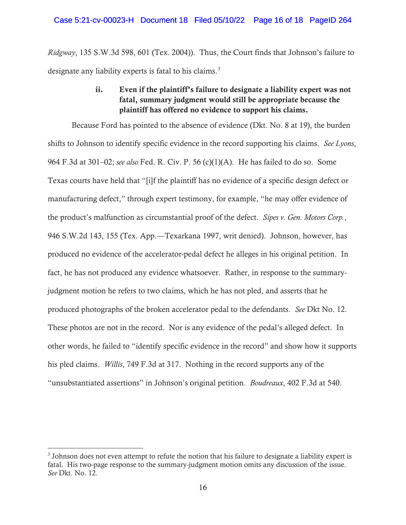*Ridgway*, 135 S.W.3d 598, 601 (Tex. 2004)). Thus, the Court finds that Johnson's failure to designate any liability experts is fatal to his claims.<sup>3</sup>

# ii. Even if the plaintiff's failure to designate a liability expert was not fatal, summary judgment would still be appropriate because the plaintiff has offered no evidence to support his claims.

Because Ford has pointed to the absence of evidence (Dkt. No. 8 at 19), the burden shifts to Johnson to identify specific evidence in the record supporting his claims. *See Lyons*, 964 F.3d at 301–02; *see also* Fed. R. Civ. P. 56 (c)(1)(A). He has failed to do so. Some Texas courts have held that "[i]f the plaintiff has no evidence of a specific design defect or manufacturing defect," through expert testimony, for example, "he may offer evidence of the product's malfunction as circumstantial proof of the defect. *Sipes v. Gen. Motors Corp.*, 946 S.W.2d 143, 155 (Tex. App.—Texarkana 1997, writ denied). Johnson, however, has produced no evidence of the accelerator-pedal defect he alleges in his original petition. In fact, he has not produced any evidence whatsoever. Rather, in response to the summaryjudgment motion he refers to two claims, which he has not pled, and asserts that he produced photographs of the broken accelerator pedal to the defendants. *See* Dkt No. 12. These photos are not in the record. Nor is any evidence of the pedal's alleged defect. In other words, he failed to "identify specific evidence in the record" and show how it supports his pled claims. *Willis*, 749 F.3d at 317. Nothing in the record supports any of the "unsubstantiated assertions" in Johnson's original petition. *Boudreaux*, 402 F.3d at 540.

 $3$  Johnson does not even attempt to refute the notion that his failure to designate a liability expert is fatal. His two-page response to the summary-judgment motion omits any discussion of the issue. *See* Dkt. No. 12.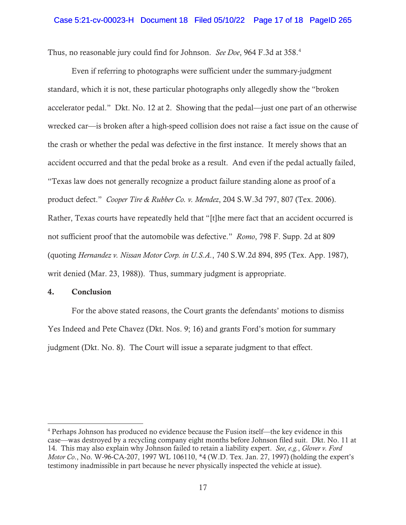#### Case 5:21-cv-00023-H Document 18 Filed 05/10/22 Page 17 of 18 PageID 265

Thus, no reasonable jury could find for Johnson. *See Doe*, 964 F.3d at 358.<sup>4</sup>

Even if referring to photographs were sufficient under the summary-judgment standard, which it is not, these particular photographs only allegedly show the "broken accelerator pedal." Dkt. No. 12 at 2. Showing that the pedal—just one part of an otherwise wrecked car—is broken after a high-speed collision does not raise a fact issue on the cause of the crash or whether the pedal was defective in the first instance. It merely shows that an accident occurred and that the pedal broke as a result. And even if the pedal actually failed, "Texas law does not generally recognize a product failure standing alone as proof of a product defect." *Cooper Tire & Rubber Co. v. Mendez*, 204 S.W.3d 797, 807 (Tex. 2006). Rather, Texas courts have repeatedly held that "[t]he mere fact that an accident occurred is not sufficient proof that the automobile was defective." *Romo*, 798 F. Supp. 2d at 809 (quoting *Hernandez v. Nissan Motor Corp. in U.S.A.*, 740 S.W.2d 894, 895 (Tex. App. 1987), writ denied (Mar. 23, 1988)). Thus, summary judgment is appropriate.

### 4. Conclusion

For the above stated reasons, the Court grants the defendants' motions to dismiss Yes Indeed and Pete Chavez (Dkt. Nos. 9; 16) and grants Ford's motion for summary judgment (Dkt. No. 8). The Court will issue a separate judgment to that effect.

<sup>4</sup> Perhaps Johnson has produced no evidence because the Fusion itself—the key evidence in this case—was destroyed by a recycling company eight months before Johnson filed suit. Dkt. No. 11 at 14. This may also explain why Johnson failed to retain a liability expert. *See, e.g.*, *Glover v. Ford Motor Co*., No. W-96-CA-207, 1997 WL 106110, \*4 (W.D. Tex. Jan. 27, 1997) (holding the expert's testimony inadmissible in part because he never physically inspected the vehicle at issue).